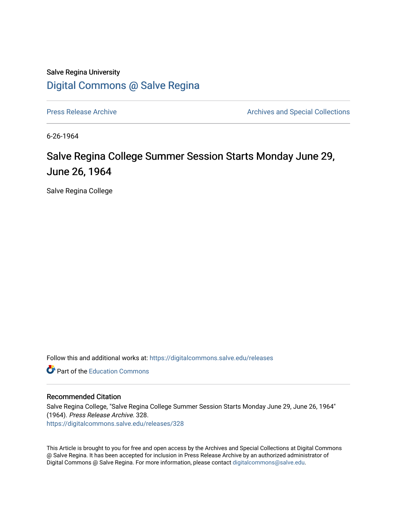Salve Regina University [Digital Commons @ Salve Regina](https://digitalcommons.salve.edu/) 

[Press Release Archive](https://digitalcommons.salve.edu/releases) **Archives** Archives and Special Collections

6-26-1964

# Salve Regina College Summer Session Starts Monday June 29, June 26, 1964

Salve Regina College

Follow this and additional works at: [https://digitalcommons.salve.edu/releases](https://digitalcommons.salve.edu/releases?utm_source=digitalcommons.salve.edu%2Freleases%2F328&utm_medium=PDF&utm_campaign=PDFCoverPages) 

**C** Part of the [Education Commons](http://network.bepress.com/hgg/discipline/784?utm_source=digitalcommons.salve.edu%2Freleases%2F328&utm_medium=PDF&utm_campaign=PDFCoverPages)

## Recommended Citation

Salve Regina College, "Salve Regina College Summer Session Starts Monday June 29, June 26, 1964" (1964). Press Release Archive. 328. [https://digitalcommons.salve.edu/releases/328](https://digitalcommons.salve.edu/releases/328?utm_source=digitalcommons.salve.edu%2Freleases%2F328&utm_medium=PDF&utm_campaign=PDFCoverPages) 

This Article is brought to you for free and open access by the Archives and Special Collections at Digital Commons @ Salve Regina. It has been accepted for inclusion in Press Release Archive by an authorized administrator of Digital Commons @ Salve Regina. For more information, please contact [digitalcommons@salve.edu](mailto:digitalcommons@salve.edu).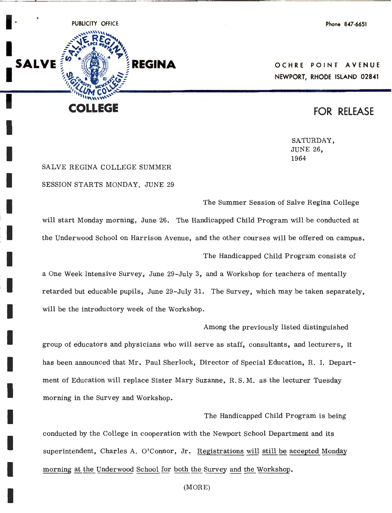

I

I

I

I

I

I

I

I

I

I

I

I

I

I

I

Phone 847-6651

**OCHRE POINT AVENUE NEWPORT, RHODE ISLAND 02841** 

# **FOR RELEASE**

SATURDAY, JUNE 26, 1964

SALVE REGINA COLLEGE SUMMER SESSION STARTS MONDAY, JUNE 29

The Summer Session of Salve Regina College

will start Monday morning, June 26. The Handicapped Child Program will be conducted at the Underwood School on Harrison Avenue, and the other courses will be offered on campus. The Handicapped Child Program consists of

a One Week Intensive Survey, June 29-July 3, and a Workshop for teachers of mentally retarded but educable pupils, June 29-July 31. The Survey, which may be taken separately, will be the introductory week of the Workshop.

#### Among the previously listed distinguished

group of educators and physicians who will serve as staff, consultants, and lecturers, it has been announced that Mr. Paul Sherlock, Director of Special Education, R. I. Department of Education will replace Sister Mary Suzanne, R. S. M. as the lecturer Tuesday morning in the Survey and Workshop.

The Handicapped Child Program is being conducted by the College in cooperation with the Newport School Department and its superintendent, Charles A. O'Connor, Jr. Registrations will still be accepted Monday morning at the Underwood School for both the Survey and the Workshop.

(MORE)